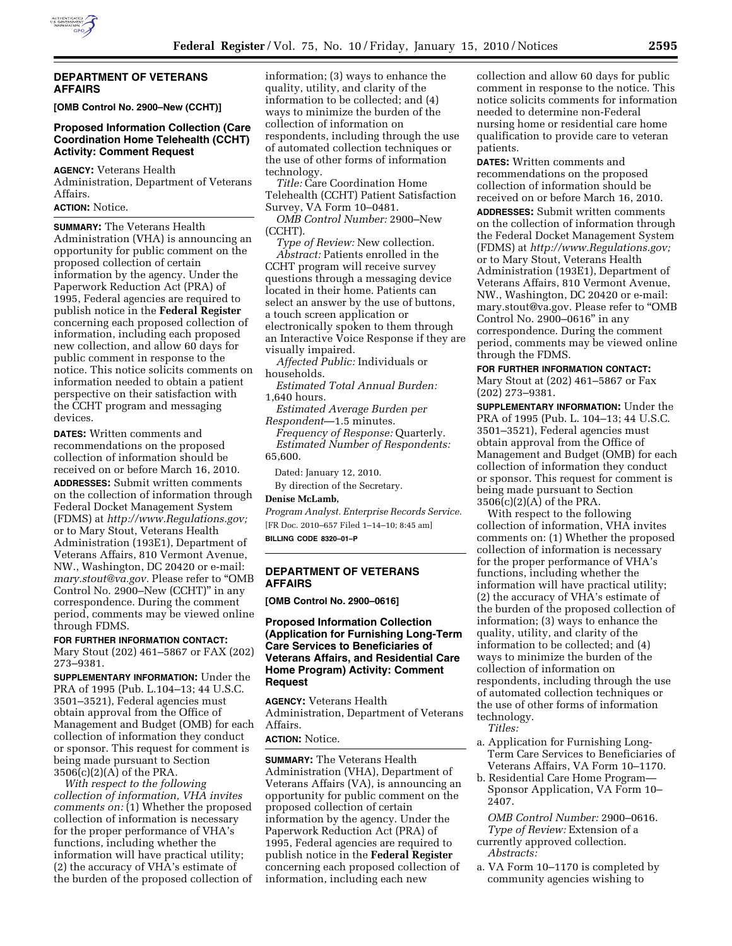

## **DEPARTMENT OF VETERANS AFFAIRS**

**[OMB Control No. 2900–New (CCHT)]** 

# **Proposed Information Collection (Care Coordination Home Telehealth (CCHT) Activity: Comment Request**

**AGENCY:** Veterans Health Administration, Department of Veterans Affairs.

## **ACTION:** Notice.

**SUMMARY:** The Veterans Health Administration (VHA) is announcing an opportunity for public comment on the proposed collection of certain information by the agency. Under the Paperwork Reduction Act (PRA) of 1995, Federal agencies are required to publish notice in the **Federal Register**  concerning each proposed collection of information, including each proposed new collection, and allow 60 days for public comment in response to the notice. This notice solicits comments on information needed to obtain a patient perspective on their satisfaction with the CCHT program and messaging devices.

**DATES:** Written comments and recommendations on the proposed collection of information should be received on or before March 16, 2010.

**ADDRESSES:** Submit written comments on the collection of information through Federal Docket Management System (FDMS) at *http://www.Regulations.gov;*  or to Mary Stout, Veterans Health Administration (193E1), Department of Veterans Affairs, 810 Vermont Avenue, NW., Washington, DC 20420 or e-mail: *mary.stout@va.gov.* Please refer to ''OMB Control No. 2900–New (CCHT)'' in any correspondence. During the comment period, comments may be viewed online through FDMS.

## **FOR FURTHER INFORMATION CONTACT:**  Mary Stout (202) 461–5867 or FAX (202) 273–9381.

**SUPPLEMENTARY INFORMATION:** Under the PRA of 1995 (Pub. L.104–13; 44 U.S.C. 3501–3521), Federal agencies must obtain approval from the Office of Management and Budget (OMB) for each collection of information they conduct or sponsor. This request for comment is being made pursuant to Section 3506(c)(2)(A) of the PRA.

*With respect to the following collection of information, VHA invites comments on:* (1) Whether the proposed collection of information is necessary for the proper performance of VHA's functions, including whether the information will have practical utility; (2) the accuracy of VHA's estimate of the burden of the proposed collection of

information; (3) ways to enhance the quality, utility, and clarity of the information to be collected; and (4) ways to minimize the burden of the collection of information on respondents, including through the use of automated collection techniques or the use of other forms of information technology.

*Title:* Care Coordination Home Telehealth (CCHT) Patient Satisfaction Survey, VA Form 10–0481.

*OMB Control Number:* 2900–New (CCHT).

*Type of Review:* New collection. *Abstract:* Patients enrolled in the CCHT program will receive survey questions through a messaging device located in their home. Patients can select an answer by the use of buttons, a touch screen application or electronically spoken to them through an Interactive Voice Response if they are visually impaired.

*Affected Public:* Individuals or households.

*Estimated Total Annual Burden:*  1,640 hours.

*Estimated Average Burden per Respondent*—1.5 minutes.

*Frequency of Response:* Quarterly. *Estimated Number of Respondents:*  65,600.

Dated: January 12, 2010.

By direction of the Secretary.

# **Denise McLamb,**

*Program Analyst. Enterprise Records Service.*  [FR Doc. 2010–657 Filed 1–14–10; 8:45 am] **BILLING CODE 8320–01–P** 

# **DEPARTMENT OF VETERANS AFFAIRS**

**[OMB Control No. 2900–0616]** 

# **Proposed Information Collection (Application for Furnishing Long-Term Care Services to Beneficiaries of Veterans Affairs, and Residential Care Home Program) Activity: Comment Request**

**AGENCY:** Veterans Health Administration, Department of Veterans Affairs.

## **ACTION:** Notice.

**SUMMARY:** The Veterans Health Administration (VHA), Department of Veterans Affairs (VA), is announcing an opportunity for public comment on the proposed collection of certain information by the agency. Under the Paperwork Reduction Act (PRA) of 1995, Federal agencies are required to publish notice in the **Federal Register**  concerning each proposed collection of information, including each new

collection and allow 60 days for public comment in response to the notice. This notice solicits comments for information needed to determine non-Federal nursing home or residential care home qualification to provide care to veteran patients.

**DATES:** Written comments and recommendations on the proposed collection of information should be received on or before March 16, 2010. **ADDRESSES:** Submit written comments on the collection of information through the Federal Docket Management System (FDMS) at *http://www.Regulations.gov;*  or to Mary Stout, Veterans Health Administration (193E1), Department of Veterans Affairs, 810 Vermont Avenue, NW., Washington, DC 20420 or e-mail: mary.stout@va.gov. Please refer to "OMB Control No. 2900–0616'' in any correspondence. During the comment period, comments may be viewed online through the FDMS.

### **FOR FURTHER INFORMATION CONTACT:**

Mary Stout at (202) 461–5867 or Fax (202) 273–9381.

**SUPPLEMENTARY INFORMATION:** Under the PRA of 1995 (Pub. L. 104–13; 44 U.S.C. 3501–3521), Federal agencies must obtain approval from the Office of Management and Budget (OMB) for each collection of information they conduct or sponsor. This request for comment is being made pursuant to Section 3506(c)(2)(A) of the PRA.

With respect to the following collection of information, VHA invites comments on: (1) Whether the proposed collection of information is necessary for the proper performance of VHA's functions, including whether the information will have practical utility; (2) the accuracy of VHA's estimate of the burden of the proposed collection of information; (3) ways to enhance the quality, utility, and clarity of the information to be collected; and (4) ways to minimize the burden of the collection of information on respondents, including through the use of automated collection techniques or the use of other forms of information technology.

*Titles:* 

- a. Application for Furnishing Long-Term Care Services to Beneficiaries of Veterans Affairs, VA Form 10–1170.
- b. Residential Care Home Program— Sponsor Application, VA Form 10– 2407.

*OMB Control Number:* 2900–0616. *Type of Review:* Extension of a currently approved collection. *Abstracts:* 

a. VA Form 10–1170 is completed by community agencies wishing to